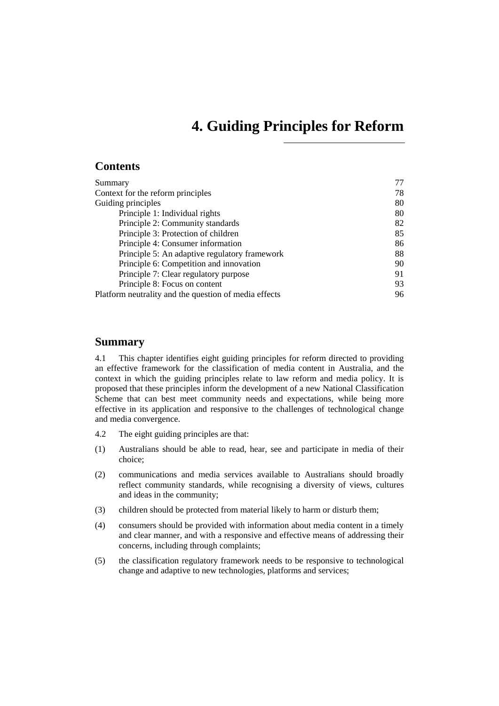# **4. Guiding Principles for Reform**

# <span id="page-0-0"></span>**Contents**

| Summary                                               | 77 |
|-------------------------------------------------------|----|
| Context for the reform principles                     | 78 |
| Guiding principles                                    | 80 |
| Principle 1: Individual rights                        | 80 |
| Principle 2: Community standards                      | 82 |
| Principle 3: Protection of children                   | 85 |
| Principle 4: Consumer information                     | 86 |
| Principle 5: An adaptive regulatory framework         | 88 |
| Principle 6: Competition and innovation               | 90 |
| Principle 7: Clear regulatory purpose                 | 91 |
| Principle 8: Focus on content                         | 93 |
| Platform neutrality and the question of media effects | 96 |

# **Summary**

4.1 This chapter identifies eight guiding principles for reform directed to providing an effective framework for the classification of media content in Australia, and the context in which the guiding principles relate to law reform and media policy. It is proposed that these principles inform the development of a new National Classification Scheme that can best meet community needs and expectations, while being more effective in its application and responsive to the challenges of technological change and media convergence.

- 4.2 The eight guiding principles are that:
- (1) Australians should be able to read, hear, see and participate in media of their choice;
- (2) communications and media services available to Australians should broadly reflect community standards, while recognising a diversity of views, cultures and ideas in the community;
- (3) children should be protected from material likely to harm or disturb them;
- (4) consumers should be provided with information about media content in a timely and clear manner, and with a responsive and effective means of addressing their concerns, including through complaints;
- (5) the classification regulatory framework needs to be responsive to technological change and adaptive to new technologies, platforms and services;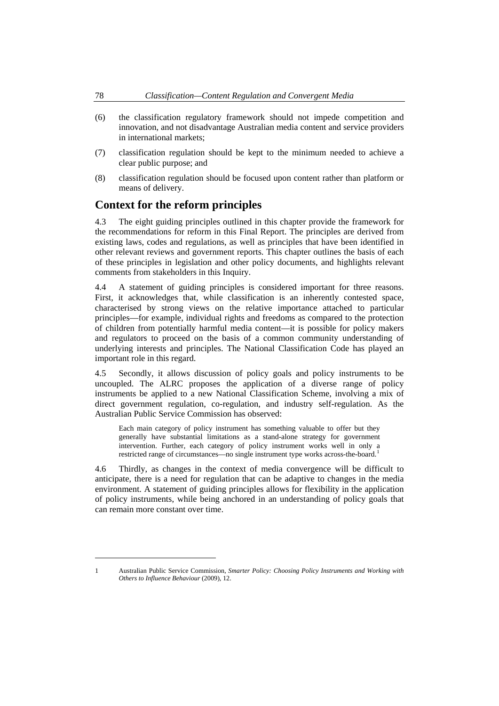- <span id="page-1-0"></span>(6) the classification regulatory framework should not impede competition and innovation, and not disadvantage Australian media content and service providers in international markets;
- (7) classification regulation should be kept to the minimum needed to achieve a clear public purpose; and
- (8) classification regulation should be focused upon content rather than platform or means of delivery.

# **Context for the reform principles**

4.3 The eight guiding principles outlined in this chapter provide the framework for the recommendations for reform in this Final Report. The principles are derived from existing laws, codes and regulations, as well as principles that have been identified in other relevant reviews and government reports. This chapter outlines the basis of each of these principles in legislation and other policy documents, and highlights relevant comments from stakeholders in this Inquiry.

4.4 A statement of guiding principles is considered important for three reasons. First, it acknowledges that, while classification is an inherently contested space, characterised by strong views on the relative importance attached to particular principles—for example, individual rights and freedoms as compared to the protection of children from potentially harmful media content—it is possible for policy makers and regulators to proceed on the basis of a common community understanding of underlying interests and principles. The National Classification Code has played an important role in this regard.

4.5 Secondly, it allows discussion of policy goals and policy instruments to be uncoupled. The ALRC proposes the application of a diverse range of policy instruments be applied to a new National Classification Scheme, involving a mix of direct government regulation, co-regulation, and industry self-regulation. As the Australian Public Service Commission has observed:

Each main category of policy instrument has something valuable to offer but they generally have substantial limitations as a stand-alone strategy for government intervention. Further, each category of policy instrument works well in only a restricted range of circumstances—no single instrument type works across-the-board.<sup>[1](#page-1-1)</sup>

4.6 Thirdly, as changes in the context of media convergence will be difficult to anticipate, there is a need for regulation that can be adaptive to changes in the media environment. A statement of guiding principles allows for flexibility in the application of policy instruments, while being anchored in an understanding of policy goals that can remain more constant over time.

<span id="page-1-1"></span><sup>1</sup> Australian Public Service Commission, *Smarter Policy: Choosing Policy Instruments and Working with Others to Influence Behaviour* (2009), 12.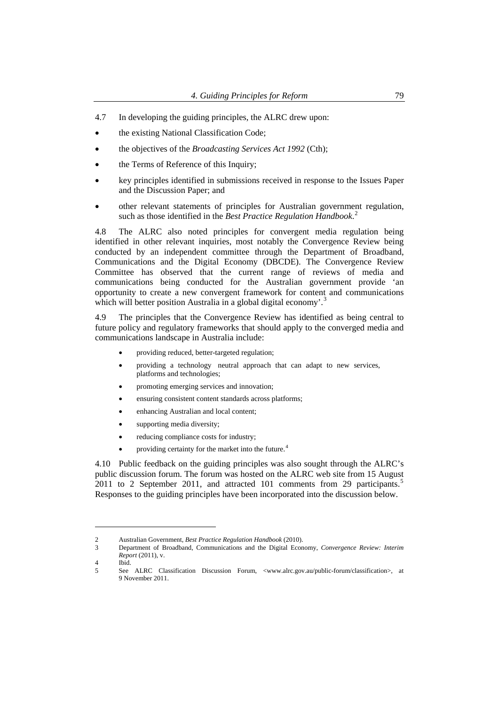- 4.7 In developing the guiding principles, the ALRC drew upon:
- the existing National Classification Code;
- the objectives of the *Broadcasting Services Act 1992* (Cth);
- the Terms of Reference of this Inquiry;
- key principles identified in submissions received in response to the Issues Paper and the Discussion Paper; and
- other relevant statements of principles for Australian government regulation, such as those identified in the *Best Practice Regulation Handbook*. [2](#page-2-0)

4.8 The ALRC also noted principles for convergent media regulation being identified in other relevant inquiries, most notably the Convergence Review being conducted by an independent committee through the Department of Broadband, Communications and the Digital Economy (DBCDE). The Convergence Review Committee has observed that the current range of reviews of media and communications being conducted for the Australian government provide 'an opportunity to create a new convergent framework for content and communications which will better position Australia in a global digital economy'.<sup>[3](#page-2-1)</sup>

4.9 The principles that the Convergence Review has identified as being central to future policy and regulatory frameworks that should apply to the converged media and communications landscape in Australia include:

- providing reduced, better-targeted regulation;
- providing a technology neutral approach that can adapt to new services, platforms and technologies;
- promoting emerging services and innovation;
- ensuring consistent content standards across platforms;
- enhancing Australian and local content;
- supporting media diversity;
- reducing compliance costs for industry;
- providing certainty for the market into the future.<sup>[4](#page-2-2)</sup>

4.10 Public feedback on the guiding principles was also sought through the ALRC's public discussion forum. The forum was hosted on the ALRC web site from 15 August 2011 to 2 September 2011, and attracted 101 comments from 29 participants.<sup>[5](#page-2-3)</sup> Responses to the guiding principles have been incorporated into the discussion below.

<sup>2</sup> Australian Government, *Best Practice Regulation Handbook* (2010).

<span id="page-2-1"></span><span id="page-2-0"></span><sup>3</sup> Department of Broadband, Communications and the Digital Economy, *Convergence Review: Interim Report* (2011), v.

<sup>4</sup> Ibid.

<span id="page-2-3"></span><span id="page-2-2"></span><sup>5</sup> See ALRC Classification Discussion Forum, <www.alrc.gov.au/public-forum/classification>, at 9 November 2011.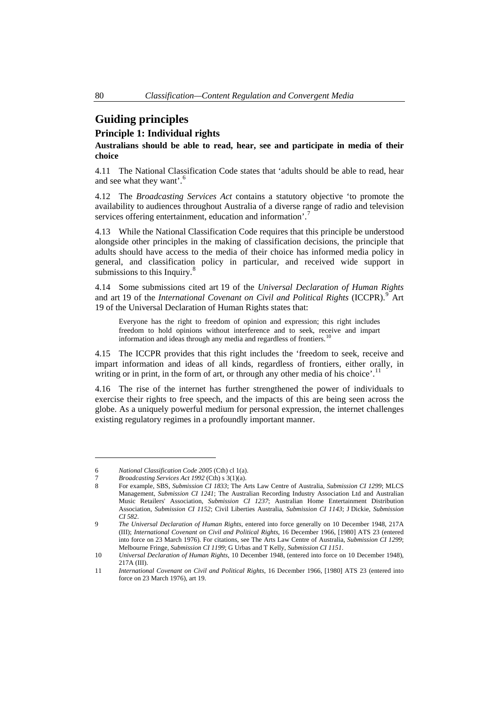# <span id="page-3-0"></span>**Guiding principles**

# **Principle 1: Individual rights**

**Australians should be able to read, hear, see and participate in media of their choice** 

4.11 The National Classification Code states that 'adults should be able to read, hear and see what they want'.<sup>[6](#page-3-1)</sup>

4.12 The *Broadcasting Services Act* contains a statutory objective 'to promote the availability to audiences throughout Australia of a diverse range of radio and television services offering entertainment, education and information'.<sup>[7](#page-3-2)</sup>

4.13 While the National Classification Code requires that this principle be understood alongside other principles in the making of classification decisions, the principle that adults should have access to the media of their choice has informed media policy in general, and classification policy in particular, and received wide support in submissions to this Inquiry. $\frac{8}{3}$  $\frac{8}{3}$  $\frac{8}{3}$ 

4.14 Some submissions cited art 19 of the *Universal Declaration of Human Rights* and art 1[9](#page-3-4) of the *International Covenant on Civil and Political Rights* (ICCPR).<sup>9</sup> Art 19 of the Universal Declaration of Human Rights states that:

Everyone has the right to freedom of opinion and expression; this right includes freedom to hold opinions without interference and to seek, receive and impart information and ideas through any media and regardless of frontiers.<sup>1</sup>

4.15 The ICCPR provides that this right includes the 'freedom to seek, receive and impart information and ideas of all kinds, regardless of frontiers, either orally, in writing or in print, in the form of art, or through any other media of his choice'.<sup>[11](#page-3-6)</sup>

4.16 The rise of the internet has further strengthened the power of individuals to exercise their rights to free speech, and the impacts of this are being seen across the globe. As a uniquely powerful medium for personal expression, the internet challenges existing regulatory regimes in a profoundly important manner.

<span id="page-3-1"></span><sup>6</sup> *National Classification Code 2005* (Cth) cl 1(a).

<sup>7</sup> *Broadcasting Services Act 1992* (Cth) s 3(1)(a).

<span id="page-3-3"></span><span id="page-3-2"></span><sup>8</sup> For example, SBS, *Submission CI 1833*; The Arts Law Centre of Australia, *Submission CI 1299*; MLCS Management, *Submission CI 1241*; The Australian Recording Industry Association Ltd and Australian Music Retailers' Association, *Submission CI 1237*; Australian Home Entertainment Distribution Association, *Submission CI 1152*; Civil Liberties Australia, *Submission CI 1143*; J Dickie, *Submission CI 582*.

<span id="page-3-4"></span><sup>9</sup> *The Universal Declaration of Human Rights*, entered into force generally on 10 December 1948, 217A (III); *International Covenant on Civil and Political Rights*, 16 December 1966, [1980] ATS 23 (entered into force on 23 March 1976). For citations, see The Arts Law Centre of Australia, *Submission CI 1299*; Melbourne Fringe, *Submission CI 1199*; G Urbas and T Kelly, *Submission CI 1151*.

<span id="page-3-5"></span><sup>10</sup> *Universal Declaration of Human Rights*, 10 December 1948, (entered into force on 10 December 1948), 217A (III).

<span id="page-3-6"></span><sup>11</sup> *International Covenant on Civil and Political Rights*, 16 December 1966, [1980] ATS 23 (entered into force on 23 March 1976), art 19.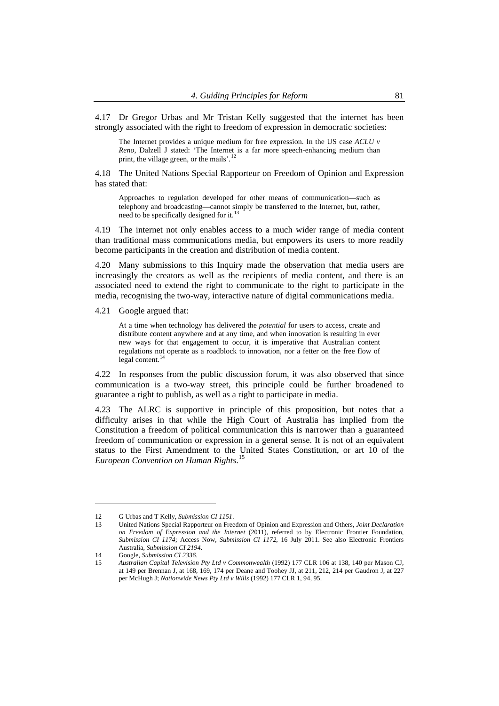4.17 Dr Gregor Urbas and Mr Tristan Kelly suggested that the internet has been strongly associated with the right to freedom of expression in democratic societies:

The Internet provides a unique medium for free expression. In the US case *ACLU v Reno*, Dalzell J stated: 'The Internet is a far more speech-enhancing medium than print, the village green, or the mails'.<sup>[12](#page-4-0)</sup>

4.18 The United Nations Special Rapporteur on Freedom of Opinion and Expression has stated that:

Approaches to regulation developed for other means of communication—such as telephony and broadcasting—cannot simply be transferred to the Internet, but, rather, need to be specifically designed for it.<sup>[13](#page-4-1)</sup>

4.19 The internet not only enables access to a much wider range of media content than traditional mass communications media, but empowers its users to more readily become participants in the creation and distribution of media content.

4.20 Many submissions to this Inquiry made the observation that media users are increasingly the creators as well as the recipients of media content, and there is an associated need to extend the right to communicate to the right to participate in the media, recognising the two-way, interactive nature of digital communications media.

4.21 Google argued that:

At a time when technology has delivered the *potential* for users to access, create and distribute content anywhere and at any time, and when innovation is resulting in ever new ways for that engagement to occur, it is imperative that Australian content regulations not operate as a roadblock to innovation, nor a fetter on the free flow of legal content. $^{14}$  $^{14}$  $^{14}$ 

4.22 In responses from the public discussion forum, it was also observed that since communication is a two-way street, this principle could be further broadened to guarantee a right to publish, as well as a right to participate in media.

4.23 The ALRC is supportive in principle of this proposition, but notes that a difficulty arises in that while the High Court of Australia has implied from the Constitution a freedom of political communication this is narrower than a guaranteed freedom of communication or expression in a general sense. It is not of an equivalent status to the First Amendment to the United States Constitution, or art 10 of the *European Convention on Human Rights*. [15](#page-4-3)

<sup>12</sup> G Urbas and T Kelly, *Submission CI 1151*.

<span id="page-4-1"></span><span id="page-4-0"></span><sup>13</sup> United Nations Special Rapporteur on Freedom of Opinion and Expression and Others, *Joint Declaration on Freedom of Expression and the Internet* (2011), referred to by Electronic Frontier Foundation, *Submission CI 1174*; Access Now, *Submission CI 1172*, 16 July 2011. See also Electronic Frontiers Australia, *Submission CI 2194*.

<sup>14</sup> Google, *Submission CI 2336*.

<span id="page-4-3"></span><span id="page-4-2"></span><sup>15</sup> *Australian Capital Television Pty Ltd v Commonwealth* (1992) 177 CLR 106 at 138, 140 per Mason CJ, at 149 per Brennan J, at 168, 169, 174 per Deane and Toohey JJ, at 211, 212, 214 per Gaudron J, at 227 per McHugh J; *Nationwide News Pty Ltd v Wills* (1992) 177 CLR 1, 94, 95.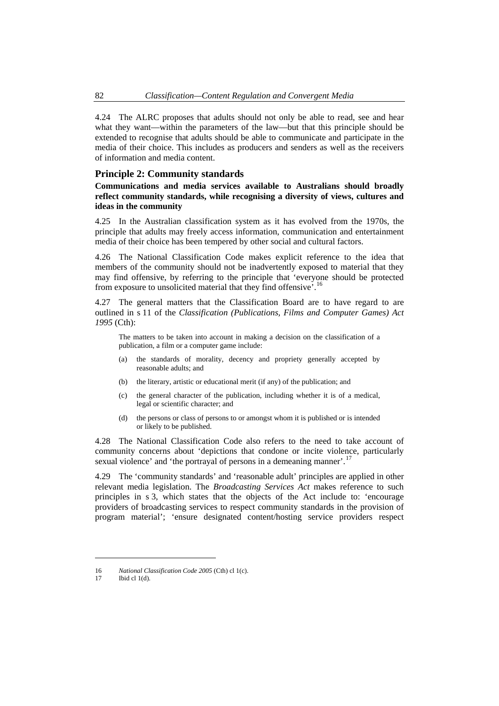<span id="page-5-0"></span>4.24 The ALRC proposes that adults should not only be able to read, see and hear what they want—within the parameters of the law—but that this principle should be extended to recognise that adults should be able to communicate and participate in the media of their choice. This includes as producers and senders as well as the receivers of information and media content.

#### **Principle 2: Community standards**

**Communications and media services available to Australians should broadly reflect community standards, while recognising a diversity of views, cultures and ideas in the community** 

4.25 In the Australian classification system as it has evolved from the 1970s, the principle that adults may freely access information, communication and entertainment media of their choice has been tempered by other social and cultural factors.

4.26 The National Classification Code makes explicit reference to the idea that members of the community should not be inadvertently exposed to material that they may find offensive, by referring to the principle that 'everyone should be protected from exposure to unsolicited material that they find offensive'.[16](#page-5-1)

4.27 The general matters that the Classification Board are to have regard to are outlined in s 11 of the *Classification (Publications, Films and Computer Games) Act 1995* (Cth):

The matters to be taken into account in making a decision on the classification of a publication, a film or a computer game include:

- (a) the standards of morality, decency and propriety generally accepted by reasonable adults; and
- (b) the literary, artistic or educational merit (if any) of the publication; and
- (c) the general character of the publication, including whether it is of a medical, legal or scientific character; and
- (d) the persons or class of persons to or amongst whom it is published or is intended or likely to be published.

4.28 The National Classification Code also refers to the need to take account of community concerns about 'depictions that condone or incite violence, particularly sexual violence' and 'the portrayal of persons in a demeaning manner'.<sup>[17](#page-5-2)</sup>

4.29 The 'community standards' and 'reasonable adult' principles are applied in other relevant media legislation. The *Broadcasting Services Act* makes reference to such principles in s 3, which states that the objects of the Act include to: 'encourage providers of broadcasting services to respect community standards in the provision of program material'; 'ensure designated content/hosting service providers respect

<span id="page-5-1"></span><sup>16</sup> *National Classification Code 2005* (Cth) cl 1(c).

<span id="page-5-2"></span><sup>17</sup> Ibid cl 1(d).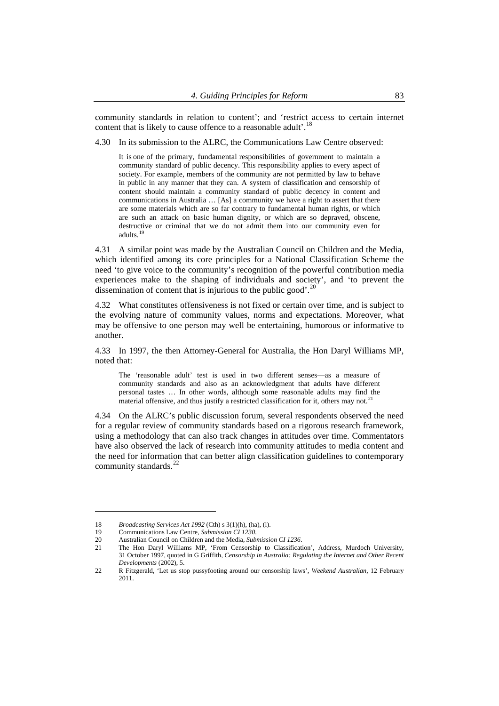community standards in relation to content'; and 'restrict access to certain internet content that is likely to cause offence to a reasonable adult'.<sup>18</sup>

4.30 In its submission to the ALRC, the Communications Law Centre observed:

It is one of the primary, fundamental responsibilities of government to maintain a community standard of public decency. This responsibility applies to every aspect of society. For example, members of the community are not permitted by law to behave in public in any manner that they can. A system of classification and censorship of content should maintain a community standard of public decency in content and communications in Australia … [As] a community we have a right to assert that there are some materials which are so far contrary to fundamental human rights, or which are such an attack on basic human dignity, or which are so depraved, obscene, destructive or criminal that we do not admit them into our community even for adults.<sup>[19](#page-6-0)</sup>

4.31 A similar point was made by the Australian Council on Children and the Media, which identified among its core principles for a National Classification Scheme the need 'to give voice to the community's recognition of the powerful contribution media experiences make to the shaping of individuals and society', and 'to prevent the dissemination of content that is injurious to the public good'.<sup>[20](#page-6-1)</sup>

4.32 What constitutes offensiveness is not fixed or certain over time, and is subject to the evolving nature of community values, norms and expectations. Moreover, what may be offensive to one person may well be entertaining, humorous or informative to another.

4.33 In 1997, the then Attorney-General for Australia, the Hon Daryl Williams MP, noted that:

The 'reasonable adult' test is used in two different senses—as a measure of community standards and also as an acknowledgment that adults have different personal tastes … In other words, although some reasonable adults may find the material offensive, and thus justify a restricted classification for it, others may not.<sup>[21](#page-6-2)</sup>

4.34 On the ALRC's public discussion forum, several respondents observed the need for a regular review of community standards based on a rigorous research framework, using a methodology that can also track changes in attitudes over time. Commentators have also observed the lack of research into community attitudes to media content and the need for information that can better align classification guidelines to contemporary community standards.<sup>[22](#page-6-3)</sup>

<sup>18</sup> *Broadcasting Services Act 1992* (Cth) s 3(1)(h), (ha), (l).

<sup>19</sup> Communications Law Centre, *Submission CI 1230*.

<span id="page-6-1"></span><span id="page-6-0"></span><sup>20</sup> Australian Council on Children and the Media, *Submission CI 1236*.

<span id="page-6-2"></span><sup>21</sup> The Hon Daryl Williams MP, 'From Censorship to Classification', Address, Murdoch University, 31 October 1997, quoted in G Griffith, *Censorship in Australia: Regulating the Internet and Other Recent Developments* (2002), 5.

<span id="page-6-3"></span><sup>22</sup> R Fitzgerald, 'Let us stop pussyfooting around our censorship laws', *Weekend Australian*, 12 February 2011.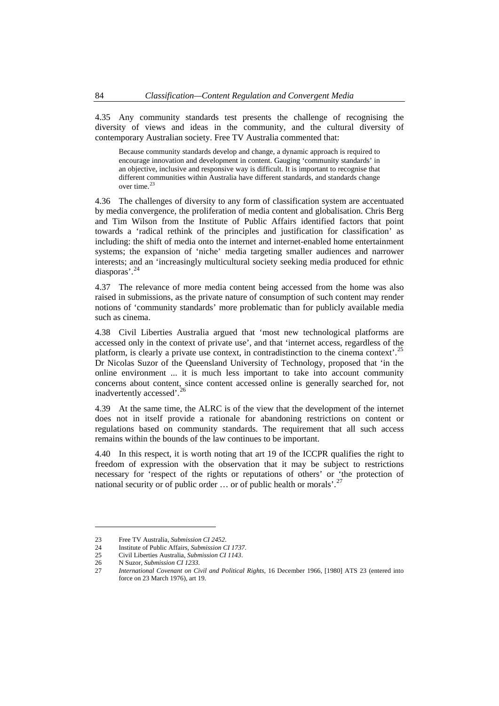4.35 Any community standards test presents the challenge of recognising the diversity of views and ideas in the community, and the cultural diversity of contemporary Australian society. Free TV Australia commented that:

Because community standards develop and change, a dynamic approach is required to encourage innovation and development in content. Gauging 'community standards' in an objective, inclusive and responsive way is difficult. It is important to recognise that different communities within Australia have different standards, and standards change over time.<sup>2</sup>

4.36 The challenges of diversity to any form of classification system are accentuated by media convergence, the proliferation of media content and globalisation. Chris Berg and Tim Wilson from the Institute of Public Affairs identified factors that point towards a 'radical rethink of the principles and justification for classification' as including: the shift of media onto the internet and internet-enabled home entertainment systems; the expansion of 'niche' media targeting smaller audiences and narrower interests; and an 'increasingly multicultural society seeking media produced for ethnic diasporas'.[24](#page-7-1)

4.37 The relevance of more media content being accessed from the home was also raised in submissions, as the private nature of consumption of such content may render notions of 'community standards' more problematic than for publicly available media such as cinema.

4.38 Civil Liberties Australia argued that 'most new technological platforms are accessed only in the context of private use', and that 'internet access, regardless of the platform, is clearly a private use context, in contradistinction to the cinema context'.[25](#page-7-2) Dr Nicolas Suzor of the Queensland University of Technology, proposed that 'in the online environment ... it is much less important to take into account community concerns about content, since content accessed online is generally searched for, not inadvertently accessed'.<sup>[26](#page-7-3)</sup>

4.39 At the same time, the ALRC is of the view that the development of the internet does not in itself provide a rationale for abandoning restrictions on content or regulations based on community standards. The requirement that all such access remains within the bounds of the law continues to be important.

4.40 In this respect, it is worth noting that art 19 of the ICCPR qualifies the right to freedom of expression with the observation that it may be subject to restrictions necessary for 'respect of the rights or reputations of others' or 'the protection of national security or of public order ... or of public health or morals'.<sup>[27](#page-7-4)</sup>

<span id="page-7-1"></span><span id="page-7-0"></span><sup>23</sup> Free TV Australia, *Submission CI 2452*.

<sup>24</sup> Institute of Public Affairs, *Submission CI 1737*.

<sup>25</sup> Civil Liberties Australia, *Submission CI 1143*.

<span id="page-7-2"></span><sup>26</sup> N Suzor, *Submission CI 1233*.

<span id="page-7-4"></span><span id="page-7-3"></span><sup>27</sup> *International Covenant on Civil and Political Rights*, 16 December 1966, [1980] ATS 23 (entered into force on 23 March 1976), art 19.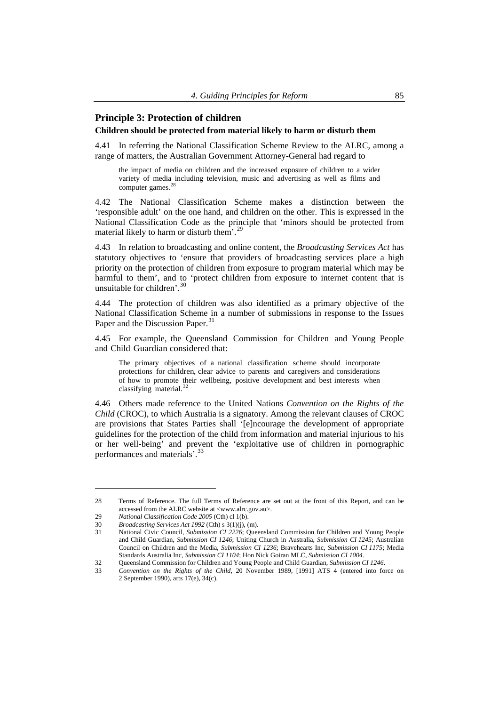# <span id="page-8-0"></span>**Principle 3: Protection of children**

#### **Children should be protected from material likely to harm or disturb them**

4.41 In referring the National Classification Scheme Review to the ALRC, among a range of matters, the Australian Government Attorney-General had regard to

the impact of media on children and the increased exposure of children to a wider variety of media including television, music and advertising as well as films and computer games.<sup>[28](#page-8-1)</sup>

4.42 The National Classification Scheme makes a distinction between the 'responsible adult' on the one hand, and children on the other. This is expressed in the National Classification Code as the principle that 'minors should be protected from material likely to harm or disturb them'.<sup>[29](#page-8-2)</sup>

4.43 In relation to broadcasting and online content, the *Broadcasting Services Act* has statutory objectives to 'ensure that providers of broadcasting services place a high priority on the protection of children from exposure to program material which may be harmful to them', and to 'protect children from exposure to internet content that is unsuitable for children'.

4.44 The protection of children was also identified as a primary objective of the National Classification Scheme in a number of submissions in response to the Issues Paper and the Discussion Paper.<sup>[31](#page-8-4)</sup>

4.45 For example, the Queensland Commission for Children and Young People and Child Guardian considered that:

The primary objectives of a national classification scheme should incorporate protections for children, clear advice to parents and caregivers and considerations of how to promote their wellbeing, positive development and best interests when classifying material.<sup>[32](#page-8-5)</sup>

4.46 Others made reference to the United Nations *Convention on the Rights of the Child* (CROC), to which Australia is a signatory. Among the relevant clauses of CROC are provisions that States Parties shall '[e]ncourage the development of appropriate guidelines for the protection of the child from information and material injurious to his or her well-being' and prevent the 'exploitative use of children in pornographic performances and materials'.[33](#page-8-6)

<span id="page-8-1"></span><sup>28</sup> Terms of Reference. The full Terms of Reference are set out at the front of this Report, and can be accessed from the ALRC website at <www.alrc.gov.au>.

<span id="page-8-3"></span><span id="page-8-2"></span><sup>29</sup> *National Classification Code 2005* (Cth) cl 1(b).

<sup>30</sup> *Broadcasting Services Act 1992* (Cth) s 3(1)(j), (m).

<span id="page-8-4"></span><sup>31</sup> National Civic Council, *Submission CI 2226*; Queensland Commission for Children and Young People and Child Guardian, *Submission CI 1246*; Uniting Church in Australia, *Submission CI 1245*; Australian Council on Children and the Media, *Submission CI 1236*; Bravehearts Inc, *Submission CI 1175*; Media Standards Australia Inc, *Submission CI 1104*; Hon Nick Goiran MLC, *Submission CI 1004*.

<span id="page-8-5"></span><sup>32</sup> Queensland Commission for Children and Young People and Child Guardian, *Submission CI 1246*.

<span id="page-8-6"></span><sup>33</sup> *Convention on the Rights of the Child*, 20 November 1989, [1991] ATS 4 (entered into force on 2 September 1990), arts 17(e), 34(c).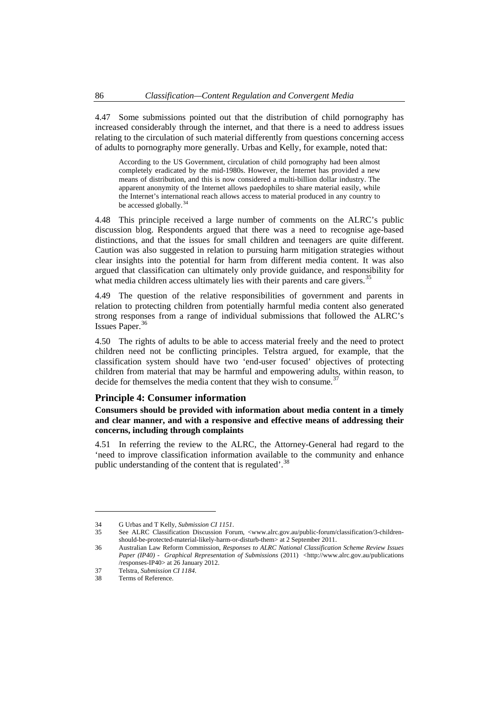<span id="page-9-0"></span>4.47 Some submissions pointed out that the distribution of child pornography has increased considerably through the internet, and that there is a need to address issues relating to the circulation of such material differently from questions concerning access of adults to pornography more generally. Urbas and Kelly, for example, noted that:

According to the US Government, circulation of child pornography had been almost completely eradicated by the mid-1980s. However, the Internet has provided a new means of distribution, and this is now considered a multi-billion dollar industry. The apparent anonymity of the Internet allows paedophiles to share material easily, while the Internet's international reach allows access to material produced in any country to be accessed globally.<sup>[34](#page-9-1)</sup>

4.48 This principle received a large number of comments on the ALRC's public discussion blog. Respondents argued that there was a need to recognise age-based distinctions, and that the issues for small children and teenagers are quite different. Caution was also suggested in relation to pursuing harm mitigation strategies without clear insights into the potential for harm from different media content. It was also argued that classification can ultimately only provide guidance, and responsibility for what media children access ultimately lies with their parents and care givers.<sup>[35](#page-9-2)</sup>

4.49 The question of the relative responsibilities of government and parents in relation to protecting children from potentially harmful media content also generated strong responses from a range of individual submissions that followed the ALRC's Issues Paper.[36](#page-9-3)

4.50 The rights of adults to be able to access material freely and the need to protect children need not be conflicting principles. Telstra argued, for example, that the classification system should have two 'end-user focused' objectives of protecting children from material that may be harmful and empowering adults, within reason, to decide for themselves the media content that they wish to consume.<sup>3</sup>

## **Principle 4: Consumer information**

**Consumers should be provided with information about media content in a timely and clear manner, and with a responsive and effective means of addressing their concerns, including through complaints** 

4.51 In referring the review to the ALRC, the Attorney-General had regard to the 'need to improve classification information available to the community and enhance public understanding of the content that is regulated'.<sup>[38](#page-9-5)</sup>

<sup>34</sup> G Urbas and T Kelly, *Submission CI 1151*.

<span id="page-9-2"></span><span id="page-9-1"></span><sup>35</sup> See ALRC Classification Discussion Forum, <www.alrc.gov.au/public-forum/classification/3-childrenshould-be-protected-material-likely-harm-or-disturb-them> at 2 September 2011.

<span id="page-9-3"></span><sup>36</sup> Australian Law Reform Commission, *Responses to ALRC National Classification Scheme Review Issues*  Paper (IP40) - Graphical Representation of Submissions (2011) <http://www.alrc.gov.au/publications /responses-IP40> at 26 January 2012.

<span id="page-9-4"></span><sup>37</sup> Telstra, *Submission CI 1184*.

<span id="page-9-5"></span><sup>38</sup> Terms of Reference.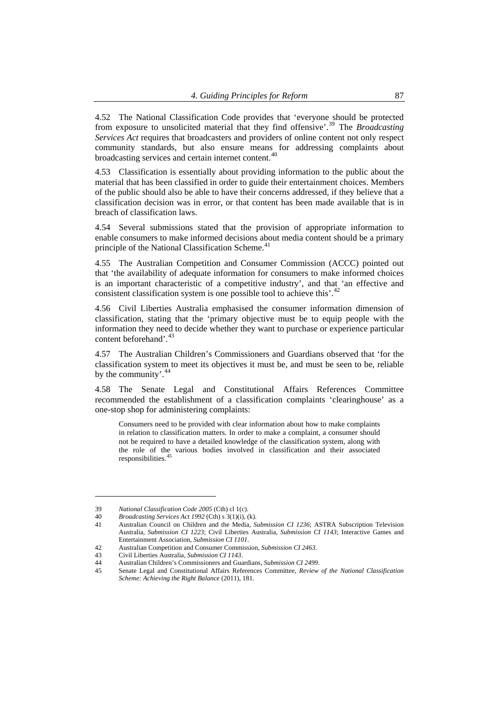4.52 The National Classification Code provides that 'everyone should be protected from exposure to unsolicited material that they find offensive'.[39](#page-10-0) The *Broadcasting Services Act* requires that broadcasters and providers of online content not only respect community standards, but also ensure means for addressing complaints about broadcasting services and certain internet content.<sup>[40](#page-10-1)</sup>

4.53 Classification is essentially about providing information to the public about the material that has been classified in order to guide their entertainment choices. Members of the public should also be able to have their concerns addressed, if they believe that a classification decision was in error, or that content has been made available that is in breach of classification laws.

4.54 Several submissions stated that the provision of appropriate information to enable consumers to make informed decisions about media content should be a primary principle of the National Classification Scheme.<sup>[41](#page-10-2)</sup>

4.55 The Australian Competition and Consumer Commission (ACCC) pointed out that 'the availability of adequate information for consumers to make informed choices is an important characteristic of a competitive industry', and that 'an effective and consistent classification system is one possible tool to achieve this'.<sup>[42](#page-10-3)</sup>

4.56 Civil Liberties Australia emphasised the consumer information dimension of classification, stating that the 'primary objective must be to equip people with the information they need to decide whether they want to purchase or experience particular content beforehand'.<sup>[43](#page-10-4)</sup>

4.57 The Australian Children's Commissioners and Guardians observed that 'for the classification system to meet its objectives it must be, and must be seen to be, reliable by the community'.<sup>[44](#page-10-5)</sup>

4.58 The Senate Legal and Constitutional Affairs References Committee recommended the establishment of a classification complaints 'clearinghouse' as a one-stop shop for administering complaints:

Consumers need to be provided with clear information about how to make complaints in relation to classification matters. In order to make a complaint, a consumer should not be required to have a detailed knowledge of the classification system, along with the role of the various bodies involved in classification and their associated responsibilities.

<span id="page-10-0"></span><sup>39</sup> *National Classification Code 2005* (Cth) cl 1(c).

<span id="page-10-1"></span><sup>40</sup> *Broadcasting Services Act 1992* (Cth) s 3(1)(i), (k).

<span id="page-10-2"></span><sup>41</sup> Australian Council on Children and the Media, *Submission CI 1236*; ASTRA Subscription Television Australia, *Submission CI 1223*; Civil Liberties Australia, *Submission CI 1143*; Interactive Games and Entertainment Association, *Submission CI 1101*.

<sup>42</sup> Australian Competition and Consumer Commission, *Submission CI 2463*.

<span id="page-10-3"></span><sup>43</sup> Civil Liberties Australia, *Submission CI 1143*.

<span id="page-10-5"></span><span id="page-10-4"></span><sup>44</sup> Australian Children's Commissioners and Guardians, *Submission CI 2499*.

<span id="page-10-6"></span><sup>45</sup> Senate Legal and Constitutional Affairs References Committee, *Review of the National Classification Scheme: Achieving the Right Balance* (2011), 181.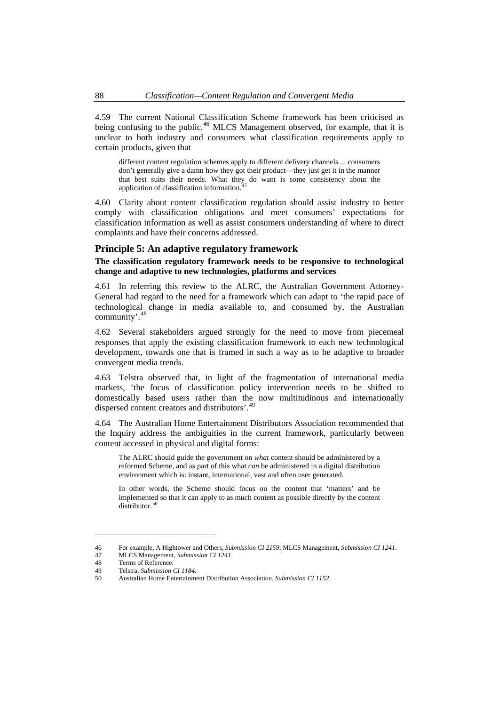<span id="page-11-0"></span>4.59 The current National Classification Scheme framework has been criticised as being confusing to the public.<sup>[46](#page-11-1)</sup> MLCS Management observed, for example, that it is unclear to both industry and consumers what classification requirements apply to certain products, given that

different content regulation schemes apply to different delivery channels ... consumers don't generally give a damn how they got their product—they just get it in the manner that best suits their needs. What they do want is some consistency about the application of classification information.

4.60 Clarity about content classification regulation should assist industry to better comply with classification obligations and meet consumers' expectations for classification information as well as assist consumers understanding of where to direct complaints and have their concerns addressed.

#### **Principle 5: An adaptive regulatory framework**

## **The classification regulatory framework needs to be responsive to technological change and adaptive to new technologies, platforms and services**

4.61 In referring this review to the ALRC, the Australian Government Attorney-General had regard to the need for a framework which can adapt to 'the rapid pace of technological change in media available to, and consumed by, the Australian community'.[48](#page-11-3)

4.62 Several stakeholders argued strongly for the need to move from piecemeal responses that apply the existing classification framework to each new technological development, towards one that is framed in such a way as to be adaptive to broader convergent media trends.

4.63 Telstra observed that, in light of the fragmentation of international media markets, 'the focus of classification policy intervention needs to be shifted to domestically based users rather than the now multitudinous and internationally dispersed content creators and distributors'.<sup>[49](#page-11-4)</sup>

4.64 The Australian Home Entertainment Distributors Association recommended that the Inquiry address the ambiguities in the current framework, particularly between content accessed in physical and digital forms:

The ALRC should guide the government on *what* content should be administered by a reformed Scheme, and as part of this what *can* be administered in a digital distribution environment which is: instant, international, vast and often user generated.

In other words, the Scheme should focus on the content that 'matters' and be implemented so that it can apply to as much content as possible directly by the content distributor. $50$ 

<span id="page-11-2"></span><span id="page-11-1"></span><sup>46</sup> For example, A Hightower and Others, *Submission CI 2159*; MLCS Management, *Submission CI 1241*.

<sup>47</sup> MLCS Management, *Submission CI 1241*.

<span id="page-11-3"></span>Terms of Reference.

<sup>49</sup> Telstra, *Submission CI 1184*.

<span id="page-11-5"></span><span id="page-11-4"></span><sup>50</sup> Australian Home Entertainment Distribution Association, *Submission CI 1152*.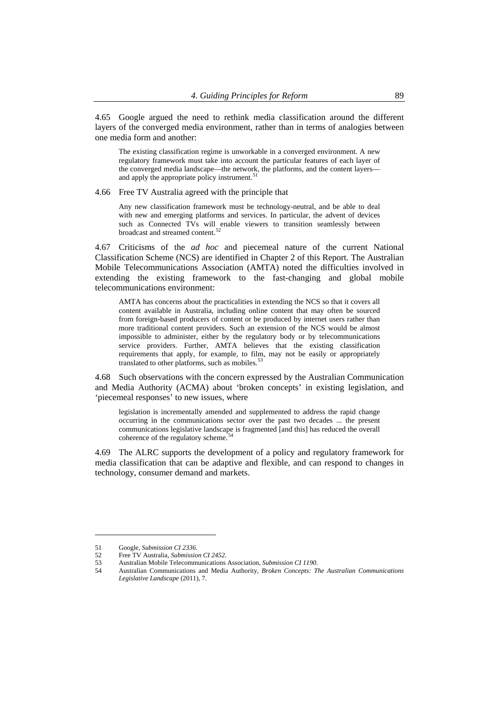4.65 Google argued the need to rethink media classification around the different layers of the converged media environment, rather than in terms of analogies between one media form and another:

The existing classification regime is unworkable in a converged environment. A new regulatory framework must take into account the particular features of each layer of the converged media landscape—the network, the platforms, and the content layers— and apply the appropriate policy instrument.<sup>[51](#page-12-0)</sup>

4.66 Free TV Australia agreed with the principle that

Any new classification framework must be technology-neutral, and be able to deal with new and emerging platforms and services. In particular, the advent of devices such as Connected TVs will enable viewers to transition seamlessly between broadcast and streamed content.<sup>[52](#page-12-1)</sup>

4.67 Criticisms of the *ad hoc* and piecemeal nature of the current National Classification Scheme (NCS) are identified in Chapter 2 of this Report. The Australian Mobile Telecommunications Association (AMTA) noted the difficulties involved in extending the existing framework to the fast-changing and global mobile telecommunications environment:

AMTA has concerns about the practicalities in extending the NCS so that it covers all content available in Australia, including online content that may often be sourced from foreign-based producers of content or be produced by internet users rather than more traditional content providers. Such an extension of the NCS would be almost impossible to administer, either by the regulatory body or by telecommunications service providers. Further, AMTA believes that the existing classification requirements that apply, for example, to film, may not be easily or appropriately translated to other platforms, such as mobiles.<sup>5</sup>

4.68 Such observations with the concern expressed by the Australian Communication and Media Authority (ACMA) about 'broken concepts' in existing legislation, and 'piecemeal responses' to new issues, where

legislation is incrementally amended and supplemented to address the rapid change occurring in the communications sector over the past two decades ... the present communications legislative landscape is fragmented [and this] has reduced the overall coherence of the regulatory scheme.

4.69 The ALRC supports the development of a policy and regulatory framework for media classification that can be adaptive and flexible, and can respond to changes in technology, consumer demand and markets.

<span id="page-12-1"></span><span id="page-12-0"></span><sup>51</sup> Google, *Submission CI 2336*.

<sup>52</sup> Free TV Australia, *Submission CI 2452*.

<sup>53</sup> Australian Mobile Telecommunications Association, *Submission CI 1190*.

<span id="page-12-3"></span><span id="page-12-2"></span><sup>54</sup> Australian Communications and Media Authority, *Broken Concepts: The Australian Communications Legislative Landscape* (2011), 7.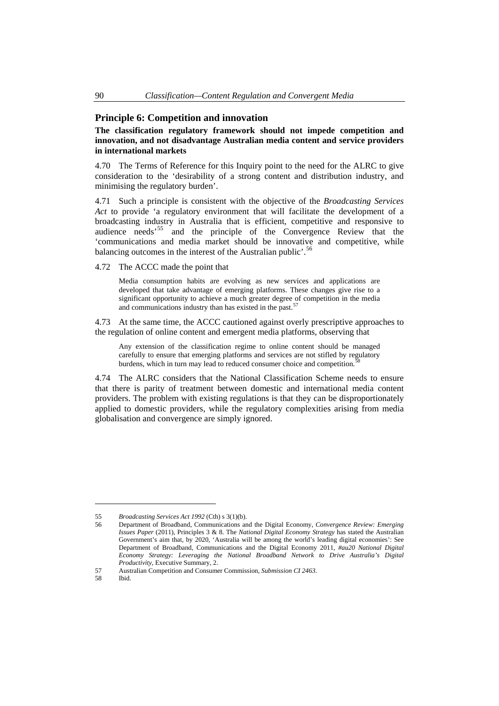## <span id="page-13-0"></span>**Principle 6: Competition and innovation**

## **The classification regulatory framework should not impede competition and innovation, and not disadvantage Australian media content and service providers in international markets**

4.70 The Terms of Reference for this Inquiry point to the need for the ALRC to give consideration to the 'desirability of a strong content and distribution industry, and minimising the regulatory burden'.

4.71 Such a principle is consistent with the objective of the *Broadcasting Services Act* to provide 'a regulatory environment that will facilitate the development of a broadcasting industry in Australia that is efficient, competitive and responsive to audience needs'[55](#page-13-1) and the principle of the Convergence Review that the 'communications and media market should be innovative and competitive, while balancing outcomes in the interest of the Australian public'.<sup>[56](#page-13-2)</sup>

4.72 The ACCC made the point that

Media consumption habits are evolving as new services and applications are developed that take advantage of emerging platforms. These changes give rise to a significant opportunity to achieve a much greater degree of competition in the media and communications industry than has existed in the past.<sup>[57](#page-13-3)</sup>

4.73 At the same time, the ACCC cautioned against overly prescriptive approaches to the regulation of online content and emergent media platforms, observing that

Any extension of the classification regime to online content should be managed carefully to ensure that emerging platforms and services are not stifled by regulatory burdens, which in turn may lead to reduced consumer choice and competition.<sup>5</sup>

4.74 The ALRC considers that the National Classification Scheme needs to ensure that there is parity of treatment between domestic and international media content providers. The problem with existing regulations is that they can be disproportionately applied to domestic providers, while the regulatory complexities arising from media globalisation and convergence are simply ignored.

<span id="page-13-1"></span><sup>55</sup> *Broadcasting Services Act 1992* (Cth) s 3(1)(b).

<span id="page-13-2"></span><sup>56</sup> Department of Broadband, Communications and the Digital Economy, *Convergence Review: Emerging Issues Paper* (2011), Principles 3 & 8. The *National Digital Economy Strategy* has stated the Australian Government's aim that, by 2020, 'Australia will be among the world's leading digital economies': See Department of Broadband, Communications and the Digital Economy 2011, *#au20 National Digital Economy Strategy: Leveraging the National Broadband Network to Drive Australia's Digital Productivity*, Executive Summary, 2.

<span id="page-13-3"></span><sup>57</sup> Australian Competition and Consumer Commission, *Submission CI 2463*.

<span id="page-13-4"></span><sup>58</sup> Ibid.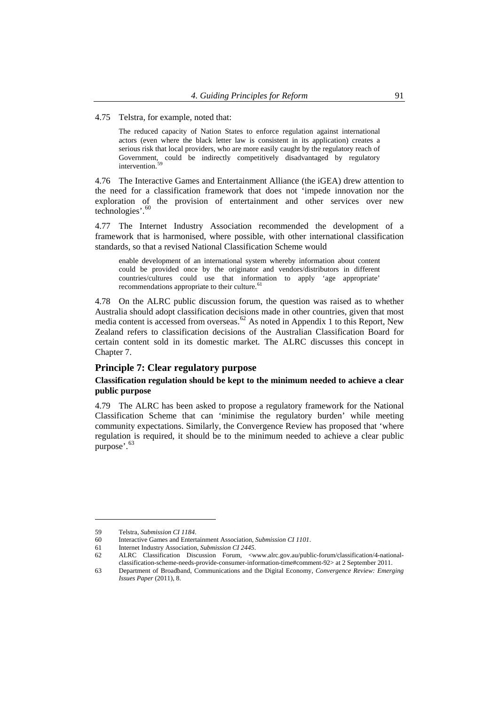<span id="page-14-0"></span>4.75 Telstra, for example, noted that:

The reduced capacity of Nation States to enforce regulation against international actors (even where the black letter law is consistent in its application) creates a serious risk that local providers, who are more easily caught by the regulatory reach of Government, could be indirectly competitively disadvantaged by regulatory intervention.<sup>[59](#page-14-1)</sup>

4.76 The Interactive Games and Entertainment Alliance (the iGEA) drew attention to the need for a classification framework that does not 'impede innovation nor the exploration of the provision of entertainment and other services over new technologies'.<sup>[60](#page-14-2)</sup>

4.77 The Internet Industry Association recommended the development of a framework that is harmonised, where possible, with other international classification standards, so that a revised National Classification Scheme would

enable development of an international system whereby information about content could be provided once by the originator and vendors/distributors in different countries/cultures could use that information to apply 'age appropriate' recommendations appropriate to their culture.<sup>[61](#page-14-3)</sup>

4.78 On the ALRC public discussion forum, the question was raised as to whether Australia should adopt classification decisions made in other countries, given that most media content is accessed from overseas.<sup>[62](#page-14-4)</sup> As noted in Appendix 1 to this Report, New Zealand refers to classification decisions of the Australian Classification Board for certain content sold in its domestic market. The ALRC discusses this concept in Chapter 7.

## **Principle 7: Clear regulatory purpose**

## **Classification regulation should be kept to the minimum needed to achieve a clear public purpose**

4.79 The ALRC has been asked to propose a regulatory framework for the National Classification Scheme that can 'minimise the regulatory burden' while meeting community expectations. Similarly, the Convergence Review has proposed that 'where regulation is required, it should be to the minimum needed to achieve a clear public purpose'.<sup>[63](#page-14-5)</sup>

<sup>59</sup> Telstra, *Submission CI 1184*.

<span id="page-14-3"></span><span id="page-14-2"></span><span id="page-14-1"></span><sup>60</sup> Interactive Games and Entertainment Association, *Submission CI 1101*.

<sup>61</sup> Internet Industry Association, *Submission CI 2445*.

<span id="page-14-4"></span><sup>62</sup> ALRC Classification Discussion Forum, <www.alrc.gov.au/public-forum/classification/4-nationalclassification-scheme-needs-provide-consumer-information-time#comment-92> at 2 September 2011.

<span id="page-14-5"></span><sup>63</sup> Department of Broadband, Communications and the Digital Economy, *Convergence Review: Emerging Issues Paper* (2011), 8.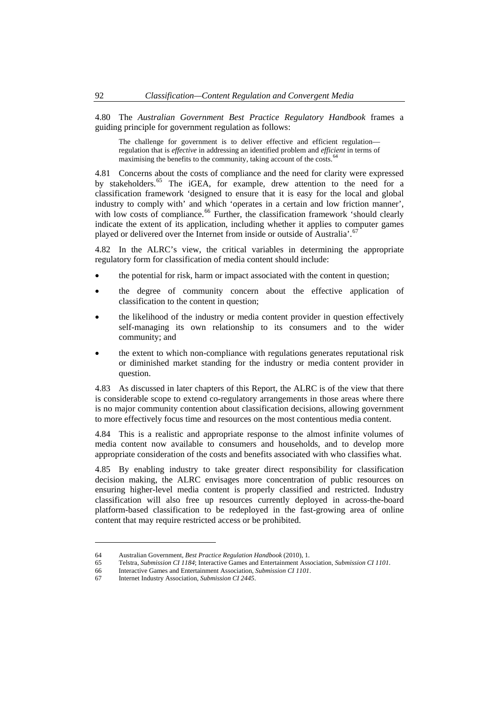4.80 The *Australian Government Best Practice Regulatory Handbook* frames a guiding principle for government regulation as follows:

The challenge for government is to deliver effective and efficient regulation regulation that is *effective* in addressing an identified problem and *efficient* in terms of maximising the benefits to the community, taking account of the costs.<sup>[64](#page-15-0)</sup>

4.81 Concerns about the costs of compliance and the need for clarity were expressed by stakeholders.<sup>[65](#page-15-1)</sup> The iGEA, for example, drew attention to the need for a classification framework 'designed to ensure that it is easy for the local and global industry to comply with' and which 'operates in a certain and low friction manner', with low costs of compliance.<sup>[66](#page-15-2)</sup> Further, the classification framework 'should clearly indicate the extent of its application, including whether it applies to computer games played or delivered over the Internet from inside or outside of Australia'.<sup>[67](#page-15-3)</sup>

4.82 In the ALRC's view, the critical variables in determining the appropriate regulatory form for classification of media content should include:

- the potential for risk, harm or impact associated with the content in question;
- the degree of community concern about the effective application of classification to the content in question;
- the likelihood of the industry or media content provider in question effectively self-managing its own relationship to its consumers and to the wider community; and
- the extent to which non-compliance with regulations generates reputational risk or diminished market standing for the industry or media content provider in question.

4.83 As discussed in later chapters of this Report, the ALRC is of the view that there is considerable scope to extend co-regulatory arrangements in those areas where there is no major community contention about classification decisions, allowing government to more effectively focus time and resources on the most contentious media content.

4.84 This is a realistic and appropriate response to the almost infinite volumes of media content now available to consumers and households, and to develop more appropriate consideration of the costs and benefits associated with who classifies what.

4.85 By enabling industry to take greater direct responsibility for classification decision making, the ALRC envisages more concentration of public resources on ensuring higher-level media content is properly classified and restricted. Industry classification will also free up resources currently deployed in across-the-board platform-based classification to be redeployed in the fast-growing area of online content that may require restricted access or be prohibited.

<sup>64</sup> Australian Government, *Best Practice Regulation Handbook* (2010), 1.

<span id="page-15-2"></span><span id="page-15-1"></span><span id="page-15-0"></span><sup>65</sup> Telstra, *Submission CI 1184*; Interactive Games and Entertainment Association, *Submission CI 1101*.

<span id="page-15-3"></span><sup>66</sup> Interactive Games and Entertainment Association, *Submission CI 1101*.

<sup>67</sup> Internet Industry Association, *Submission CI 2445*.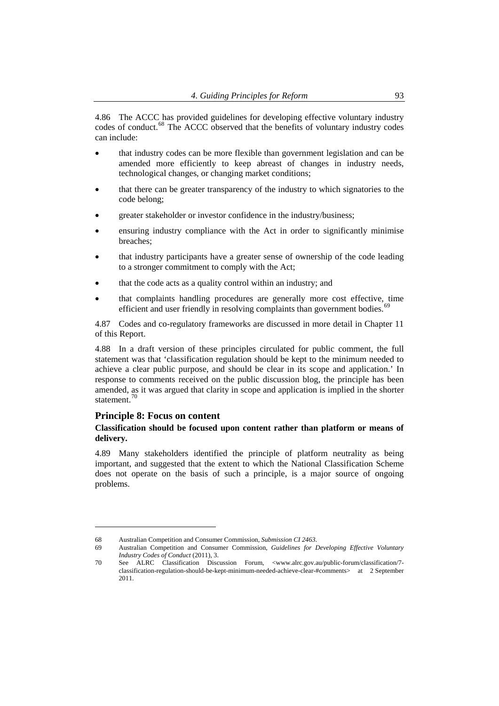<span id="page-16-0"></span>4.86 The ACCC has provided guidelines for developing effective voluntary industry codes of conduct.[68](#page-16-1) The ACCC observed that the benefits of voluntary industry codes can include:

- that industry codes can be more flexible than government legislation and can be amended more efficiently to keep abreast of changes in industry needs, technological changes, or changing market conditions;
- that there can be greater transparency of the industry to which signatories to the code belong;
- greater stakeholder or investor confidence in the industry/business;
- ensuring industry compliance with the Act in order to significantly minimise breaches;
- that industry participants have a greater sense of ownership of the code leading to a stronger commitment to comply with the Act;
- that the code acts as a quality control within an industry; and
- that complaints handling procedures are generally more cost effective, time efficient and user friendly in resolving complaints than government bodies.<sup>6</sup>

4.87 Codes and co-regulatory frameworks are discussed in more detail in Chapter 11 of this Report.

4.88 In a draft version of these principles circulated for public comment, the full statement was that 'classification regulation should be kept to the minimum needed to achieve a clear public purpose, and should be clear in its scope and application.' In response to comments received on the public discussion blog, the principle has been amended, as it was argued that clarity in scope and application is implied in the shorter statement.<sup>[70](#page-16-3)</sup>

## **Principle 8: Focus on content**

 $\overline{a}$ 

## **Classification should be focused upon content rather than platform or means of delivery.**

4.89 Many stakeholders identified the principle of platform neutrality as being important, and suggested that the extent to which the National Classification Scheme does not operate on the basis of such a principle, is a major source of ongoing problems.

<sup>68</sup> Australian Competition and Consumer Commission, *Submission CI 2463*.

<span id="page-16-2"></span><span id="page-16-1"></span><sup>69</sup> Australian Competition and Consumer Commission, *Guidelines for Developing Effective Voluntary Industry Codes of Conduct* (2011), 3.

<span id="page-16-3"></span><sup>70</sup> See ALRC Classification Discussion Forum, <www.alrc.gov.au/public-forum/classification/7 classification-regulation-should-be-kept-minimum-needed-achieve-clear-#comments> at 2 September 2011.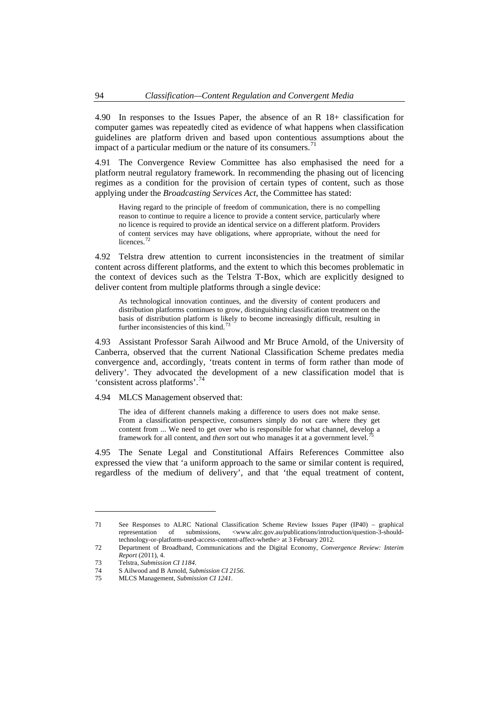4.90 In responses to the Issues Paper, the absence of an R 18+ classification for computer games was repeatedly cited as evidence of what happens when classification guidelines are platform driven and based upon contentious assumptions about the impact of a particular medium or the nature of its consumers.<sup>[71](#page-17-0)</sup>

4.91 The Convergence Review Committee has also emphasised the need for a platform neutral regulatory framework. In recommending the phasing out of licencing regimes as a condition for the provision of certain types of content, such as those applying under the *Broadcasting Services Act*, the Committee has stated:

Having regard to the principle of freedom of communication, there is no compelling reason to continue to require a licence to provide a content service, particularly where no licence is required to provide an identical service on a different platform. Providers of content services may have obligations, where appropriate, without the need for licences.<sup>[72](#page-17-1)</sup>

4.92 Telstra drew attention to current inconsistencies in the treatment of similar content across different platforms, and the extent to which this becomes problematic in the context of devices such as the Telstra T-Box, which are explicitly designed to deliver content from multiple platforms through a single device:

As technological innovation continues, and the diversity of content producers and distribution platforms continues to grow, distinguishing classification treatment on the basis of distribution platform is likely to become increasingly difficult, resulting in further inconsistencies of this kind.<sup>[73](#page-17-2)</sup>

4.93 Assistant Professor Sarah Ailwood and Mr Bruce Arnold, of the University of Canberra, observed that the current National Classification Scheme predates media convergence and, accordingly, 'treats content in terms of form rather than mode of delivery'. They advocated the development of a new classification model that is 'consistent across platforms'.[74](#page-17-3)

4.94 MLCS Management observed that:

The idea of different channels making a difference to users does not make sense. From a classification perspective, consumers simply do not care where they get content from ... We need to get over who is responsible for what channel, develop a framework for all content, and *then* sort out who manages it at a government level.

4.95 The Senate Legal and Constitutional Affairs References Committee also expressed the view that 'a uniform approach to the same or similar content is required, regardless of the medium of delivery', and that 'the equal treatment of content,

<span id="page-17-0"></span><sup>71</sup> See Responses to ALRC National Classification Scheme Review Issues Paper (IP40) – graphical representation of submissions, <www.alrc.gov.au/publications/introduction/question-3-shouldtechnology-or-platform-used-access-content-affect-whethe> at 3 February 2012.

<span id="page-17-1"></span><sup>72</sup> Department of Broadband, Communications and the Digital Economy, *Convergence Review: Interim Report* (2011), 4.

<span id="page-17-3"></span><span id="page-17-2"></span><sup>73</sup> Telstra, *Submission CI 1184*.

<sup>74</sup> S Ailwood and B Arnold, *Submission CI 2156*.

<span id="page-17-4"></span><sup>75</sup> MLCS Management, *Submission CI 1241*.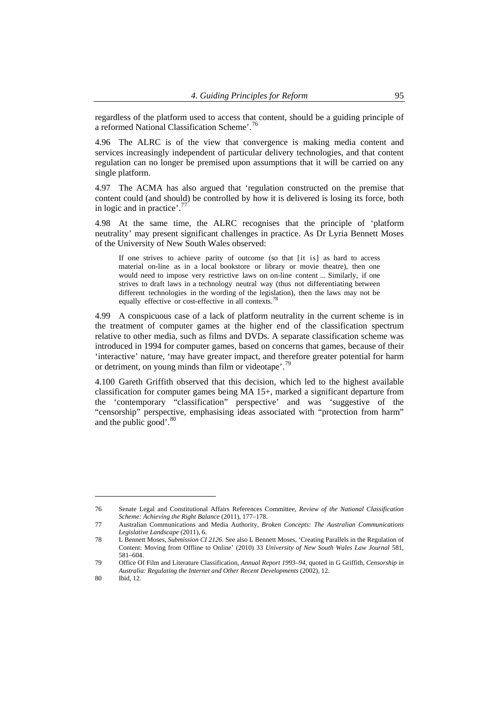regardless of the platform used to access that content, should be a guiding principle of a reformed National Classification Scheme'.<sup>76</sup>

4.96 The ALRC is of the view that convergence is making media content and services increasingly independent of particular delivery technologies, and that content regulation can no longer be premised upon assumptions that it will be carried on any single platform.

4.97 The ACMA has also argued that 'regulation constructed on the premise that content could (and should) be controlled by how it is delivered is losing its force, both in logic and in practice'.<sup>7</sup>

4.98 At the same time, the ALRC recognises that the principle of 'platform neutrality' may present significant challenges in practice. As Dr Lyria Bennett Moses of the University of New South Wales observed:

If one strives to achieve parity of outcome (so that [it is] as hard to access material on-line as in a local bookstore or library or movie theatre), then one would need to impose very restrictive laws on on-line content ... Similarly, if one strives to draft laws in a technology neutral way (thus not differentiating between different technologies in the wording of the legislation), then the laws may not be equally effective or cost-effective in all contexts.<sup>[78](#page-18-1)</sup>

4.99 A conspicuous case of a lack of platform neutrality in the current scheme is in the treatment of computer games at the higher end of the classification spectrum relative to other media, such as films and DVDs. A separate classification scheme was introduced in 1994 for computer games, based on concerns that games, because of their 'interactive' nature, 'may have greater impact, and therefore greater potential for harm or detriment, on young minds than film or videotape'.<sup>7</sup>

4.100 Gareth Griffith observed that this decision, which led to the highest available classification for computer games being MA 15+, marked a significant departure from the 'contemporary "classification" perspective' and was 'suggestive of the "censorship" perspective, emphasising ideas associated with "protection from harm" and the public good'.<sup>[80](#page-18-3)</sup>

<sup>76</sup> Senate Legal and Constitutional Affairs References Committee, *Review of the National Classification Scheme: Achieving the Right Balance* (2011), 177–178.

<span id="page-18-0"></span><sup>77</sup> Australian Communications and Media Authority, *Broken Concepts: The Australian Communications Legislative Landscape* (2011), 6.

<span id="page-18-1"></span><sup>78</sup> L Bennett Moses, *Submission CI 2126*. See also L Bennett Moses, 'Creating Parallels in the Regulation of Content: Moving from Offline to Online' (2010) 33 *University of New South Wales Law Journal* 581, 581–604.

<span id="page-18-2"></span><sup>79</sup> Office Of Film and Literature Classification, *Annual Report 1993–94*, quoted in G Griffith, *Censorship in Australia: Regulating the Internet and Other Recent Developments* (2002), 12.

<span id="page-18-3"></span><sup>80</sup> Ibid, 12.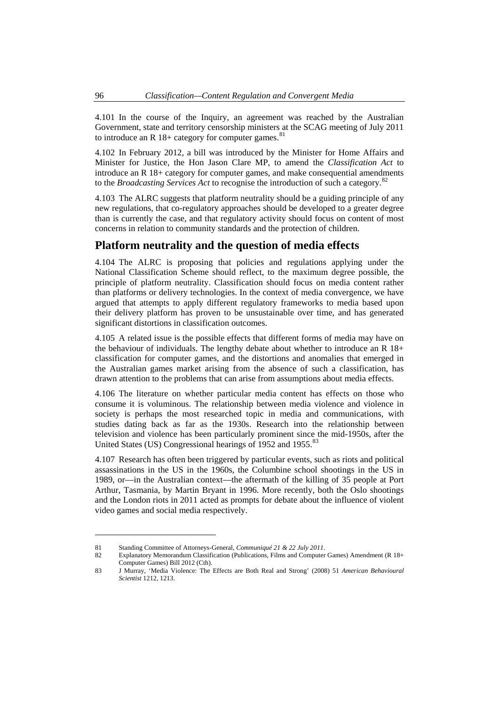<span id="page-19-0"></span>4.101 In the course of the Inquiry, an agreement was reached by the Australian Government, state and territory censorship ministers at the SCAG meeting of July 2011 to introduce an R  $18+$  category for computer games.<sup>[81](#page-19-1)</sup>

4.102 In February 2012, a bill was introduced by the Minister for Home Affairs and Minister for Justice, the Hon Jason Clare MP, to amend the *Classification Act* to introduce an R 18+ category for computer games, and make consequential amendments to the *Broadcasting Services Act* to recognise the introduction of such a category.[82](#page-19-2)

4.103 The ALRC suggests that platform neutrality should be a guiding principle of any new regulations, that co-regulatory approaches should be developed to a greater degree than is currently the case, and that regulatory activity should focus on content of most concerns in relation to community standards and the protection of children.

# **Platform neutrality and the question of media effects**

4.104 The ALRC is proposing that policies and regulations applying under the National Classification Scheme should reflect, to the maximum degree possible, the principle of platform neutrality. Classification should focus on media content rather than platforms or delivery technologies. In the context of media convergence, we have argued that attempts to apply different regulatory frameworks to media based upon their delivery platform has proven to be unsustainable over time, and has generated significant distortions in classification outcomes.

4.105 A related issue is the possible effects that different forms of media may have on the behaviour of individuals. The lengthy debate about whether to introduce an R 18+ classification for computer games, and the distortions and anomalies that emerged in the Australian games market arising from the absence of such a classification, has drawn attention to the problems that can arise from assumptions about media effects.

4.106 The literature on whether particular media content has effects on those who consume it is voluminous. The relationship between media violence and violence in society is perhaps the most researched topic in media and communications, with studies dating back as far as the 1930s. Research into the relationship between television and violence has been particularly prominent since the mid-1950s, after the United States (US) Congressional hearings of 1952 and 1955.<sup>[83](#page-19-3)</sup>

4.107 Research has often been triggered by particular events, such as riots and political assassinations in the US in the 1960s, the Columbine school shootings in the US in 1989, or—in the Australian context—the aftermath of the killing of 35 people at Port Arthur, Tasmania, by Martin Bryant in 1996. More recently, both the Oslo shootings and the London riots in 2011 acted as prompts for debate about the influence of violent video games and social media respectively.

<span id="page-19-2"></span><span id="page-19-1"></span><sup>81</sup> Standing Committee of Attorneys-General, *Communiqué 21 & 22 July 2011*.

<sup>82</sup> Explanatory Memorandum Classification (Publications, Films and Computer Games) Amendment (R 18+ Computer Games) Bill 2012 (Cth).

<span id="page-19-3"></span><sup>83</sup> J Murray, 'Media Violence: The Effects are Both Real and Strong' (2008) 51 *American Behavioural Scientist* 1212, 1213.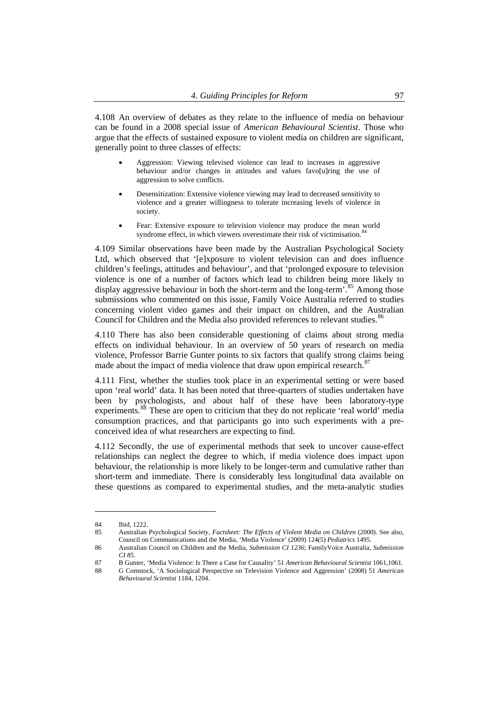4.108 An overview of debates as they relate to the influence of media on behaviour can be found in a 2008 special issue of *American Behavioural Scientist*. Those who argue that the effects of sustained exposure to violent media on children are significant, generally point to three classes of effects:

- Aggression: Viewing televised violence can lead to increases in aggressive behaviour and/or changes in attitudes and values favo[u]ring the use of aggression to solve conflicts.
- Desensitization: Extensive violence viewing may lead to decreased sensitivity to violence and a greater willingness to tolerate increasing levels of violence in society.
- Fear: Extensive exposure to television violence may produce the mean world syndrome effect, in which viewers overestimate their risk of victimisation.<sup>[84](#page-20-0)</sup>

4.109 Similar observations have been made by the Australian Psychological Society Ltd, which observed that '[e]xposure to violent television can and does influence children's feelings, attitudes and behaviour', and that 'prolonged exposure to television violence is one of a number of factors which lead to children being more likely to display aggressive behaviour in both the short-term and the long-term'.<sup>[85](#page-20-1)</sup> Among those submissions who commented on this issue, Family Voice Australia referred to studies concerning violent video games and their impact on children, and the Australian Council for Children and the Media also provided references to relevant studies.<sup>[86](#page-20-2)</sup>

4.110 There has also been considerable questioning of claims about strong media effects on individual behaviour. In an overview of 50 years of research on media violence, Professor Barrie Gunter points to six factors that qualify strong claims being made about the impact of media violence that draw upon empirical research.<sup>8</sup>

4.111 First, whether the studies took place in an experimental setting or were based upon 'real world' data. It has been noted that three-quarters of studies undertaken have been by psychologists, and about half of these have been laboratory-type experiments.<sup>[88](#page-20-4)</sup> These are open to criticism that they do not replicate 'real world' media consumption practices, and that participants go into such experiments with a preconceived idea of what researchers are expecting to find.

4.112 Secondly, the use of experimental methods that seek to uncover cause-effect relationships can neglect the degree to which, if media violence does impact upon behaviour, the relationship is more likely to be longer-term and cumulative rather than short-term and immediate. There is considerably less longitudinal data available on these questions as compared to experimental studies, and the meta-analytic studies

<span id="page-20-0"></span><sup>84</sup> Ibid, 1222.

<span id="page-20-1"></span><sup>85</sup> Australian Psychological Society, *Factsheet: The Effects of Violent Media on Children* (2000). See also, Council on Communications and the Media, 'Media Violence' (2009) 124(5) *Pediatrics* 1495.

<span id="page-20-2"></span><sup>86</sup> Australian Council on Children and the Media, *Submission CI 1236*; FamilyVoice Australia, *Submission CI 85*.

<span id="page-20-4"></span><span id="page-20-3"></span><sup>87</sup> B Gunter, 'Media Violence: Is There a Case for Causality' 51 *American Behavioural Scientist* 1061,1061.

<sup>88</sup> G Comstock, 'A Sociological Perspective on Television Violence and Aggression' (2008) 51 *American Behavioural Scientist* 1184, 1204.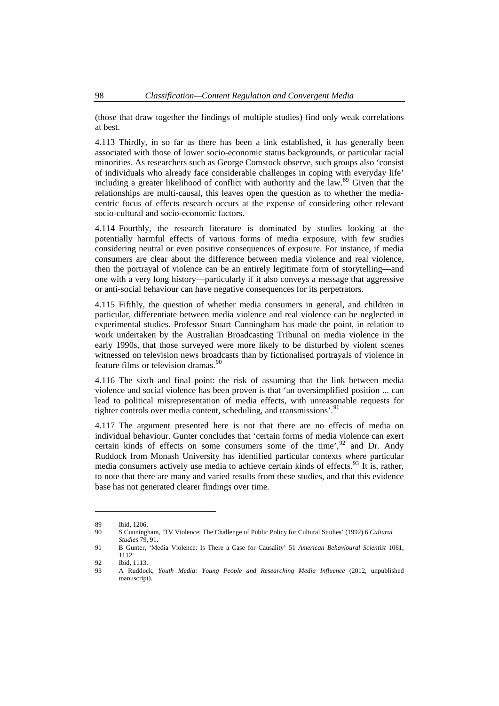(those that draw together the findings of multiple studies) find only weak correlations at best.

4.113 Thirdly, in so far as there has been a link established, it has generally been associated with those of lower socio-economic status backgrounds, or particular racial minorities. As researchers such as George Comstock observe, such groups also 'consist of individuals who already face considerable challenges in coping with everyday life' including a greater likelihood of conflict with authority and the law.<sup>[89](#page-21-0)</sup> Given that the relationships are multi-causal, this leaves open the question as to whether the mediacentric focus of effects research occurs at the expense of considering other relevant socio-cultural and socio-economic factors.

4.114 Fourthly, the research literature is dominated by studies looking at the potentially harmful effects of various forms of media exposure, with few studies considering neutral or even positive consequences of exposure. For instance, if media consumers are clear about the difference between media violence and real violence, then the portrayal of violence can be an entirely legitimate form of storytelling—and one with a very long history—particularly if it also conveys a message that aggressive or anti-social behaviour can have negative consequences for its perpetrators.

4.115 Fifthly, the question of whether media consumers in general, and children in particular, differentiate between media violence and real violence can be neglected in experimental studies. Professor Stuart Cunningham has made the point, in relation to work undertaken by the Australian Broadcasting Tribunal on media violence in the early 1990s, that those surveyed were more likely to be disturbed by violent scenes witnessed on television news broadcasts than by fictionalised portrayals of violence in feature films or television dramas.<sup>[90](#page-21-1)</sup>

4.116 The sixth and final point: the risk of assuming that the link between media violence and social violence has been proven is that 'an oversimplified position ... can lead to political misrepresentation of media effects, with unreasonable requests for tighter controls over media content, scheduling, and transmissions'.

4.117 The argument presented here is not that there are no effects of media on individual behaviour. Gunter concludes that 'certain forms of media violence can exert certain kinds of effects on some consumers some of the time',  $^{92}$  $^{92}$  $^{92}$  and Dr. Andy Ruddock from Monash University has identified particular contexts where particular media consumers actively use media to achieve certain kinds of effects.<sup>[93](#page-21-4)</sup> It is, rather, to note that there are many and varied results from these studies, and that this evidence base has not generated clearer findings over time.

<sup>89</sup> Ibid, 1206.

<span id="page-21-1"></span><span id="page-21-0"></span><sup>90</sup> S Cunningham, 'TV Violence: The Challenge of Public Policy for Cultural Studies' (1992) 6 *Cultural Studies* 79, 91.

<span id="page-21-2"></span><sup>91</sup> B Gunter, 'Media Violence: Is There a Case for Causality' 51 *American Behavioural Scientist* 1061, 1112.

<sup>92</sup> Ibid, 1113.

<span id="page-21-4"></span><span id="page-21-3"></span><sup>93</sup> A Ruddock, *Youth Media: Young People and Researching Media Influence* (2012, unpublished manuscript).